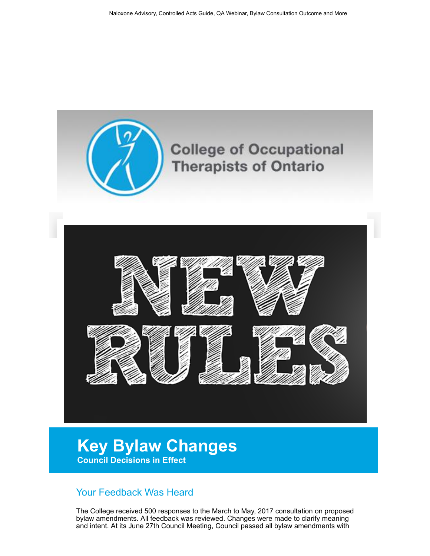

## Key Bylaw Changes Council Decisions in Effect

## Your Feedback Was Heard

The College received 500 responses to the March to May, 2017 consultation on proposed bylaw amendments. All feedback was reviewed. Changes were made to clarify meaning and intent. At its June 27th Council Meeting, Council passed all bylaw amendments with